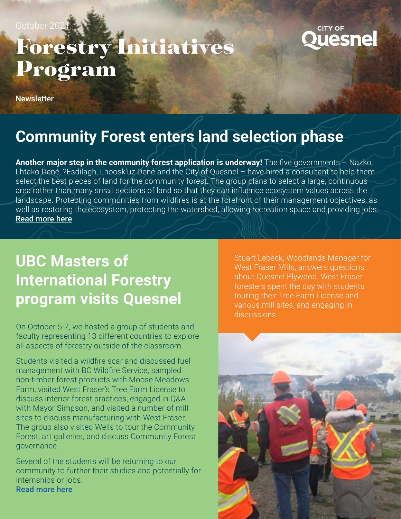October 20

#### **CITY OF uesne**

# Forestry Initiatives Program

**Newsletter** 

### **Community Forest enters land selection phase**

**Another major step in the community forest application is underway!** The five governments – Nazko, Lhtako Dené, ?Esdilagh, Lhoosk'uz Dené and the City of Quesnel – have hired a consultant to help them select the best pieces of land for the community forest. The group plans to select a large, continuous area rather than many small sections of land so that they can influence ecosystem values across the landscape. Protecting communities from wildfires is at the forefront of their management objectives, as well as restoring the ecosystem, protecting the watershed, allowing recreation space and providing jobs. [Read more here](https://www.quesnelobserver.com/news/industrial-update-quesnel-area-community-forest-entering-land-selection-phase/)

## **UBC Masters of International Forestry program visits Quesnel**

On October 5-7, we hosted a group of students and faculty representing 13 different countries to explore all aspects of forestry outside of the classroom.

Students visited a wildfire scar and discussed fuel management with BC Wildfire Service, sampled non-timber forest products with Moose Meadows Farm, visited West Fraser's Tree Farm License to discuss interior forest practices, engaged in Q&A with Mayor Simpson, and visited a number of mill sites to discuss manufacturing with West Fraser. The group also visited Wells to tour the Community Forest, art galleries, and discuss Community Forest governance.

Several of the students will be returning to our community to further their studies and potentially for internships or jobs. [Read more here](https://www.quesnelobserver.com/news/quesnel-hosts-ubcs-international-forestry-students/)

Stuart Lebeck, Woodlands Manager for West Fraser Mills, answers questions about Quesnel Plywood. West Fraser foresters spent the day with students touring their Tree Farm License and various mill sites, and engaging in discussions.